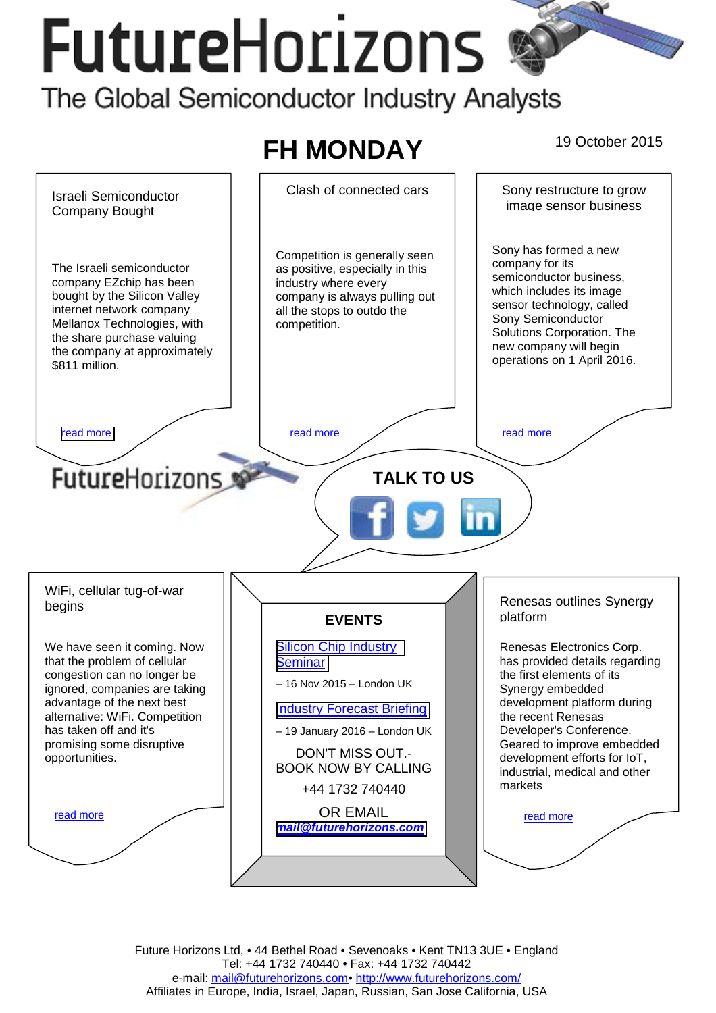# **FutureHorizons**

The Global Semiconductor Industry Analysts



Future Horizons Ltd, • 44 Bethel Road • Sevenoaks • Kent TN13 3UE • England Tel: +44 1732 740440 • Fax: +44 1732 740442 e-mail: mail@futurehorizons.com• http://www.futurehorizons.com/ Affiliates in Europe, India, Israel, Japan, Russian, San Jose California, USA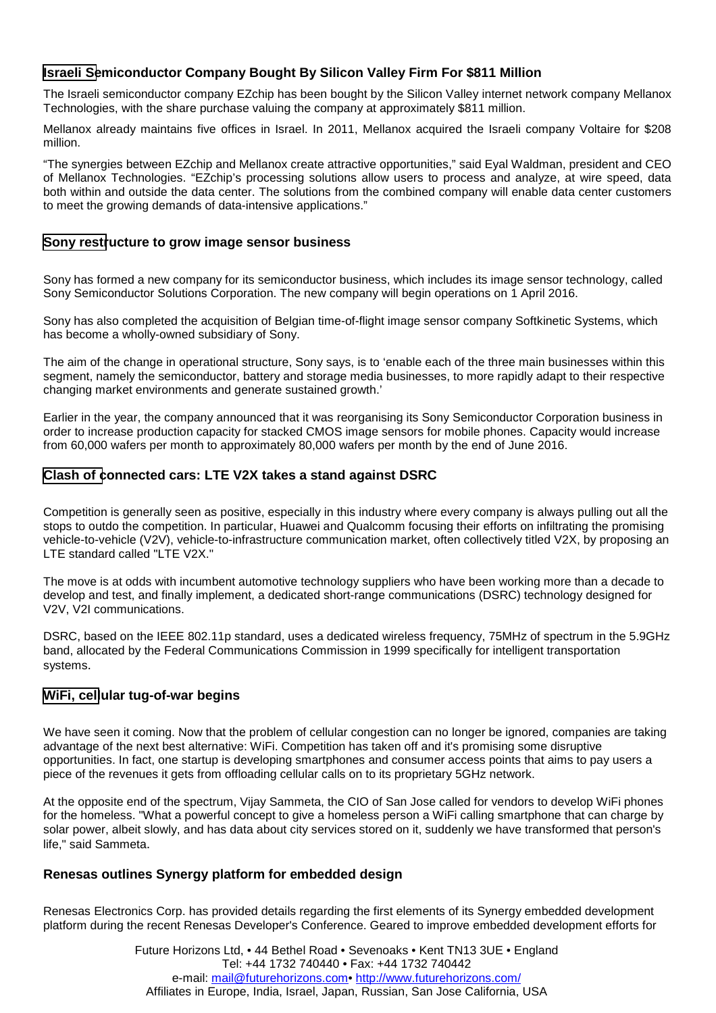# <span id="page-1-0"></span>**Israeli Semiconductor Company Bought By Silicon Valley Firm For \$811 Million**

The Israeli semiconductor company EZchip has been bought by the Silicon Valley internet network company Mellanox Technologies, with the share purchase valuing the company at approximately \$811 million.

Mellanox already maintains five offices in Israel. In 2011, Mellanox acquired the Israeli company Voltaire for \$208 million.

"The synergies between EZchip and Mellanox create attractive opportunities," said Eyal Waldman, president and CEO of Mellanox Technologies. "EZchip's processing solutions allow users to process and analyze, at wire speed, data both within and outside the data center. The solutions from the combined company will enable data center customers to meet the growing demands of data-intensive applications."

### **Sony restructure to grow image sensor business**

Sony has formed a new company for its semiconductor business, which includes its image sensor technology, called Sony Semiconductor Solutions Corporation. The new company will begin operations on 1 April 2016.

Sony has also completed the acquisition of Belgian time-of-flight image sensor company Softkinetic Systems, which has become a wholly-owned subsidiary of Sony.

The aim of the change in operational structure, Sony says, is to 'enable each of the three main businesses within this segment, namely the semiconductor, battery and storage media businesses, to more rapidly adapt to their respective changing market environments and generate sustained growth.'

Earlier in the year, the company announced that it was reorganising its Sony Semiconductor Corporation business in order to increase production capacity for stacked CMOS image sensors for mobile phones. Capacity would increase from 60,000 wafers per month to approximately 80,000 wafers per month by the end of June 2016.

## **Clash of connected cars: LTE V2X takes a stand against DSRC**

Competition is generally seen as positive, especially in this industry where every company is always pulling out all the stops to outdo the competition. In particular, Huawei and Qualcomm focusing their efforts on infiltrating the promising vehicle-to-vehicle (V2V), vehicle-to-infrastructure communication market, often collectively titled V2X, by proposing an LTE standard called "LTE V2X."

The move is at odds with incumbent automotive technology suppliers who have been working more than a decade to develop and test, and finally implement, a dedicated short-range communications (DSRC) technology designed for V2V, V2I communications.

DSRC, based on the IEEE 802.11p standard, uses a dedicated wireless frequency, 75MHz of spectrum in the 5.9GHz band, allocated by the Federal Communications Commission in 1999 specifically for intelligent transportation systems.

## **WiFi, cellular tug-of-war begins**

We have seen it coming. Now that the problem of cellular congestion can no longer be ignored, companies are taking advantage of the next best alternative: WiFi. Competition has taken off and it's promising some disruptive opportunities. In fact, one startup is developing smartphones and consumer access points that aims to pay users a piece of the revenues it gets from offloading cellular calls on to its proprietary 5GHz network.

At the opposite end of the spectrum, Vijay Sammeta, the CIO of San Jose called for vendors to develop WiFi phones for the homeless. "What a powerful concept to give a homeless person a WiFi calling smartphone that can charge by solar power, albeit slowly, and has data about city services stored on it, suddenly we have transformed that person's life," said Sammeta.

### **Renesas outlines Synergy platform for embedded design**

Renesas Electronics Corp. has provided details regarding the first elements of its Synergy embedded development platform during the recent Renesas Developer's Conference. Geared to improve embedded development efforts for